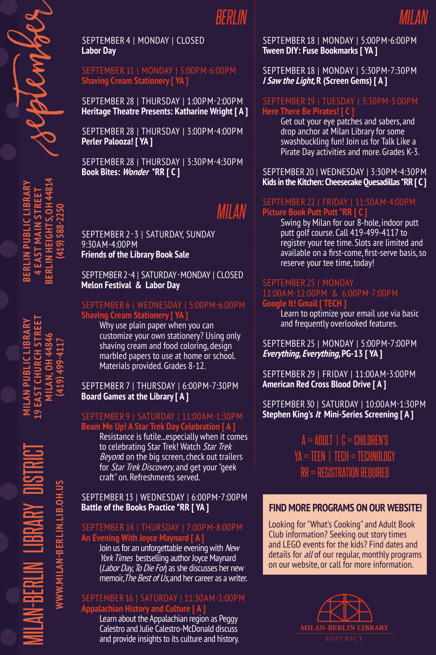**BERLIN PUBLIC LIBRARY 4 EAST MAIN STREET BERLIN HEIGHTS, OH 44814 (419) 588-2250**

BERLIN PU

EAST MAIN ST

SEPTEMBER 4 | MONDAY | CLOSED **Labor Day**

SEPTEMBER 11 | MONDAY | 5:00PM-6:00PM **Shaving Cream Stationery [ YA ]**

SEPTEMBER 28 | THURSDAY | 1:00PM-2:00PM **Heritage Theatre Presents: Katharine Wright [ A ]**

SEPTEMBER 28 | THURSDAY | 3:00PM-4:00PM **Perler Palooza! [ YA ]**

SEPTEMBER 28 | THURSDAY | 3:30PM-4:30PM **Book Bites: Wonder \*RR [ C ]**

# *MILAN*

SEPTEMBER 2 - 3 | SATURDAY, SUNDAY 9:30AM-4:00PM **Friends of the Library Book Sale**

SEPTEMBER 2-4 | SATURDAY - MONDAY | CLOSED **Melon Festival & Labor Day**

### SEPTEMBER 6 | WEDNESDAY | 5:00PM-6:00PM **Shaving Cream Stationery [ YA ]**

Why use plain paper when you can customize your own stationery? Using only shaving cream and food coloring, design marbled papers to use at home or school. Materials provided. Grades 8-12.

SEPTEMBER 7 | THURSDAY | 6:00PM-7:30PM **Board Games at the Library [ A ]**

### SEPTEMBER 9 | SATURDAY | 11:00AM-1:30PM **Beam Me Up! A Star Trek Day Celebration [ A ]**

Resistance is futile...especially when it comes to celebrating Star Trek! Watch Star Trek Beyond on the big screen, check out trailers for Star Trek Discovery, and get your "geek craft" on. Refreshments served.

SEPTEMBER 13 | WEDNESDAY | 6:00PM-7:00PM **Battle of the Books Practice \*RR [ YA ]**

### SEPTEMBER 14 | THURSDAY | 7:00PM-8:00PM **An Evening With Joyce Maynard [ A ]**

Join us for an unforgettable evening with New York Times bestselling author Joyce Maynard (Labor Day, To Die For) as she discusses her new memoir, The Best of Us, and her career as a writer.

### SEPTEMBER 16 | SATURDAY | 11:30AM-1:00PM **Appalachian History and Culture [ A ]**

Learn about the Appalachian region as Peggy Calestro and Julie Calestro-McDonald discuss and provide insights to its culture and history. SEPTEMBER 18 | MONDAY | 5:00PM-6:00PM **Tween DIY: Fuse Bookmarks [ YA ]**

SEPTEMBER 18 | MONDAY | 5:30PM-7:30PM **I Saw the Light, R (Screen Gems) [ A ]**

### SEPTEMBER 19 | TUESDAY | 3:30PM-5:00PM **Here There Be Pirates! [ C ]**

Get out your eye patches and sabers, and drop anchor at Milan Library for some swashbuckling fun! Join us for Talk Like a Pirate Day activities and more. Grades K-3.

SEPTEMBER 20 | WEDNESDAY | 3:30PM-4:30PM **Kids in the Kitchen: Cheesecake Quesadillas \*RR [ C ]**

### SEPTEMBER 22 | FRIDAY | 11:30AM-4:00PM **Picture Book Putt Putt \*RR [ C ]**

Swing by Milan for our 8-hole, indoor putt putt golf course. Call 419-499-4117 to register your tee time. Slots are limited and available on a first-come, first-serve basis, so reserve your tee time, today!

## SEPTEMBER 25 | MONDAY **Google It! Gmail [ TECH ]**

Learn to optimize your email use via basic and frequently overlooked features.

SEPTEMBER 25 | MONDAY | 5:00PM-7:00PM **Everything, Everything, PG-13 [ YA ]**

SEPTEMBER 29 | FRIDAY | 11:00AM-3:00PM **American Red Cross Blood Drive [ A ]**

SEPTEMBER 30 | SATURDAY | 10:00AM-1:30PM **Stephen King's It Mini-Series Screening [ A ]**

> $A = ADULT$  |  $C = CHILDREN'S$ YA = TEEN | TECH = TECHNOLOGY RR = REGISTRATION REQUIRED

### **FIND MORE PROGRAMS ON OUR WEBSITE!**

Looking for "What's Cooking" and Adult Book Club information? Seeking out story times and LEGO events for the kids? Find dates and details for *all* of our regular, monthly programs on our website, or call for more information.



MILAN-BERLIN LIBRARY DISTRICT **MILAN PUBLIC LIBRARY 19 EAST CHURCH STREET MILAN, OH 44846 WWW.MILAN-BERLIN.LIB.OH.US**

**(419) 499-4117**